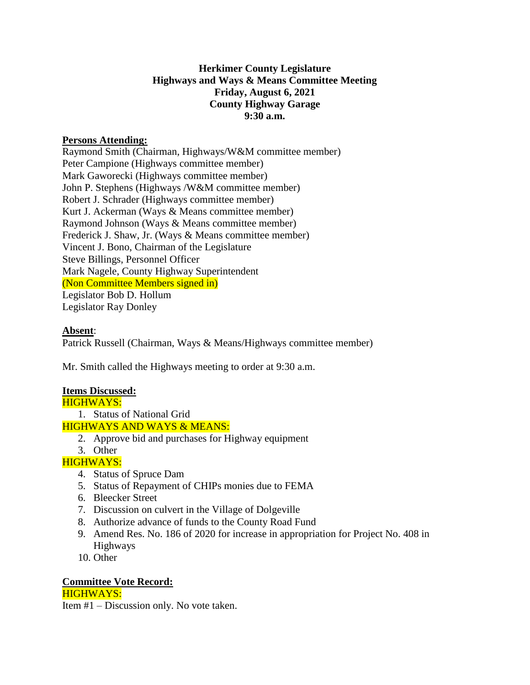## **Herkimer County Legislature Highways and Ways & Means Committee Meeting Friday, August 6, 2021 County Highway Garage 9:30 a.m.**

## **Persons Attending:**

Raymond Smith (Chairman, Highways/W&M committee member) Peter Campione (Highways committee member) Mark Gaworecki (Highways committee member) John P. Stephens (Highways /W&M committee member) Robert J. Schrader (Highways committee member) Kurt J. Ackerman (Ways & Means committee member) Raymond Johnson (Ways & Means committee member) Frederick J. Shaw, Jr. (Ways & Means committee member) Vincent J. Bono, Chairman of the Legislature Steve Billings, Personnel Officer Mark Nagele, County Highway Superintendent (Non Committee Members signed in) Legislator Bob D. Hollum Legislator Ray Donley

## **Absent**:

Patrick Russell (Chairman, Ways & Means/Highways committee member)

Mr. Smith called the Highways meeting to order at 9:30 a.m.

## **Items Discussed:**

1. Status of National Grid

- HIGHWAYS AND WAYS & MEANS:
	- 2. Approve bid and purchases for Highway equipment
	- 3. Other

# HIGHWAYS:

- 4. Status of Spruce Dam
- 5. Status of Repayment of CHIPs monies due to FEMA
- 6. Bleecker Street
- 7. Discussion on culvert in the Village of Dolgeville
- 8. Authorize advance of funds to the County Road Fund
- 9. Amend Res. No. 186 of 2020 for increase in appropriation for Project No. 408 in Highways
- 10. Other

## **Committee Vote Record:**

HIGHWAYS:

Item #1 – Discussion only. No vote taken.